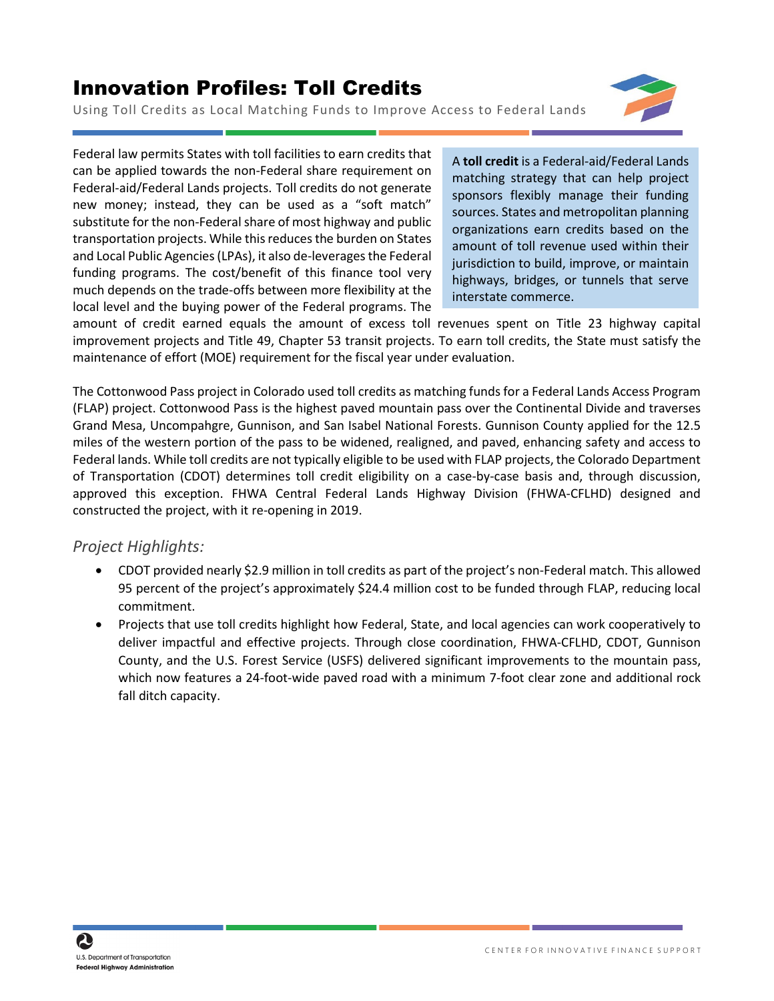## Innovation Profiles: Toll Credits

Using Toll Credits as Local Matching Funds to Improve Access to Federal Lands



Federal law permits States with toll facilities to earn credits that can be applied towards the non-Federal share requirement on Federal-aid/Federal Lands projects. Toll credits do not generate new money; instead, they can be used as a "soft match" substitute for the non-Federal share of most highway and public transportation projects. While this reducesthe burden on States and Local Public Agencies (LPAs), it also de-leverages the Federal funding programs. The cost/benefit of this finance tool very much depends on the trade-offs between more flexibility at the local level and the buying power of the Federal programs. The

A **toll credit** is a Federal-aid/Federal Lands matching strategy that can help project sponsors flexibly manage their funding sources. States and metropolitan planning organizations earn credits based on the amount of toll revenue used within their jurisdiction to build, improve, or maintain highways, bridges, or tunnels that serve interstate commerce.

amount of credit earned equals the amount of excess toll revenues spent on Title 23 highway capital improvement projects and Title 49, Chapter 53 transit projects. To earn toll credits, the State must satisfy the maintenance of effort (MOE) requirement for the fiscal year under evaluation.

The Cottonwood Pass project in Colorado used toll credits as matching funds for a Federal Lands Access Program (FLAP) project. Cottonwood Pass is the highest paved mountain pass over the Continental Divide and traverses Grand Mesa, Uncompahgre, Gunnison, and San Isabel National Forests. Gunnison County applied for the 12.5 miles of the western portion of the pass to be widened, realigned, and paved, enhancing safety and access to Federal lands. While toll credits are not typically eligible to be used with FLAP projects, the Colorado Department of Transportation (CDOT) determines toll credit eligibility on a case-by-case basis and, through discussion, approved this exception. FHWA Central Federal Lands Highway Division (FHWA-CFLHD) designed and constructed the project, with it re-opening in 2019.

## *Project Highlights:*

- CDOT provided nearly \$2.9 million in toll credits as part of the project's non-Federal match. This allowed 95 percent of the project's approximately \$24.4 million cost to be funded through FLAP, reducing local commitment.
- Projects that use toll credits highlight how Federal, State, and local agencies can work cooperatively to deliver impactful and effective projects. Through close coordination, FHWA-CFLHD, CDOT, Gunnison County, and the U.S. Forest Service (USFS) delivered significant improvements to the mountain pass, which now features a 24-foot-wide paved road with a minimum 7-foot clear zone and additional rock fall ditch capacity.